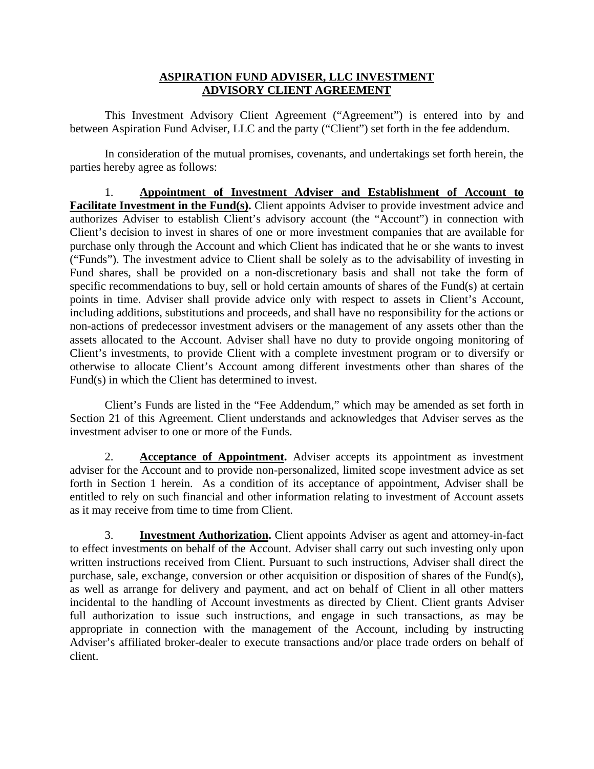## **ASPIRATION FUND ADVISER, LLC INVESTMENT ADVISORY CLIENT AGREEMENT**

This Investment Advisory Client Agreement ("Agreement") is entered into by and between Aspiration Fund Adviser, LLC and the party ("Client") set forth in the fee addendum.

In consideration of the mutual promises, covenants, and undertakings set forth herein, the parties hereby agree as follows:

1. **Appointment of Investment Adviser and Establishment of Account to Facilitate Investment in the Fund(s).** Client appoints Adviser to provide investment advice and authorizes Adviser to establish Client's advisory account (the "Account") in connection with Client's decision to invest in shares of one or more investment companies that are available for purchase only through the Account and which Client has indicated that he or she wants to invest ("Funds"). The investment advice to Client shall be solely as to the advisability of investing in Fund shares, shall be provided on a non-discretionary basis and shall not take the form of specific recommendations to buy, sell or hold certain amounts of shares of the Fund(s) at certain points in time. Adviser shall provide advice only with respect to assets in Client's Account, including additions, substitutions and proceeds, and shall have no responsibility for the actions or non-actions of predecessor investment advisers or the management of any assets other than the assets allocated to the Account. Adviser shall have no duty to provide ongoing monitoring of Client's investments, to provide Client with a complete investment program or to diversify or otherwise to allocate Client's Account among different investments other than shares of the Fund(s) in which the Client has determined to invest.

Client's Funds are listed in the "Fee Addendum," which may be amended as set forth in Section 21 of this Agreement. Client understands and acknowledges that Adviser serves as the investment adviser to one or more of the Funds.

2. **Acceptance of Appointment.** Adviser accepts its appointment as investment adviser for the Account and to provide non-personalized, limited scope investment advice as set forth in Section 1 herein. As a condition of its acceptance of appointment, Adviser shall be entitled to rely on such financial and other information relating to investment of Account assets as it may receive from time to time from Client.

3. **Investment Authorization.** Client appoints Adviser as agent and attorney-in-fact to effect investments on behalf of the Account. Adviser shall carry out such investing only upon written instructions received from Client. Pursuant to such instructions, Adviser shall direct the purchase, sale, exchange, conversion or other acquisition or disposition of shares of the Fund(s), as well as arrange for delivery and payment, and act on behalf of Client in all other matters incidental to the handling of Account investments as directed by Client. Client grants Adviser full authorization to issue such instructions, and engage in such transactions, as may be appropriate in connection with the management of the Account, including by instructing Adviser's affiliated broker-dealer to execute transactions and/or place trade orders on behalf of client.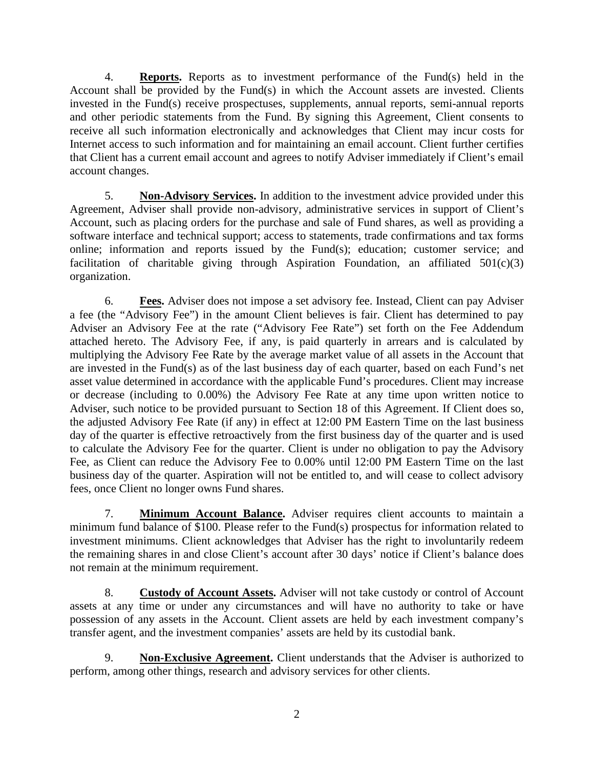4. **Reports.** Reports as to investment performance of the Fund(s) held in the Account shall be provided by the Fund(s) in which the Account assets are invested. Clients invested in the Fund(s) receive prospectuses, supplements, annual reports, semi-annual reports and other periodic statements from the Fund. By signing this Agreement, Client consents to receive all such information electronically and acknowledges that Client may incur costs for Internet access to such information and for maintaining an email account. Client further certifies that Client has a current email account and agrees to notify Adviser immediately if Client's email account changes.

5. **Non-Advisory Services.** In addition to the investment advice provided under this Agreement, Adviser shall provide non-advisory, administrative services in support of Client's Account, such as placing orders for the purchase and sale of Fund shares, as well as providing a software interface and technical support; access to statements, trade confirmations and tax forms online; information and reports issued by the Fund(s); education; customer service; and facilitation of charitable giving through Aspiration Foundation, an affiliated  $501(c)(3)$ organization.

6. **Fees.** Adviser does not impose a set advisory fee. Instead, Client can pay Adviser a fee (the "Advisory Fee") in the amount Client believes is fair. Client has determined to pay Adviser an Advisory Fee at the rate ("Advisory Fee Rate") set forth on the Fee Addendum attached hereto. The Advisory Fee, if any, is paid quarterly in arrears and is calculated by multiplying the Advisory Fee Rate by the average market value of all assets in the Account that are invested in the Fund(s) as of the last business day of each quarter, based on each Fund's net asset value determined in accordance with the applicable Fund's procedures. Client may increase or decrease (including to 0.00%) the Advisory Fee Rate at any time upon written notice to Adviser, such notice to be provided pursuant to Section 18 of this Agreement. If Client does so, the adjusted Advisory Fee Rate (if any) in effect at 12:00 PM Eastern Time on the last business day of the quarter is effective retroactively from the first business day of the quarter and is used to calculate the Advisory Fee for the quarter. Client is under no obligation to pay the Advisory Fee, as Client can reduce the Advisory Fee to 0.00% until 12:00 PM Eastern Time on the last business day of the quarter. Aspiration will not be entitled to, and will cease to collect advisory fees, once Client no longer owns Fund shares.

7. **Minimum Account Balance.** Adviser requires client accounts to maintain a minimum fund balance of \$100. Please refer to the Fund(s) prospectus for information related to investment minimums. Client acknowledges that Adviser has the right to involuntarily redeem the remaining shares in and close Client's account after 30 days' notice if Client's balance does not remain at the minimum requirement.

8. **Custody of Account Assets.** Adviser will not take custody or control of Account assets at any time or under any circumstances and will have no authority to take or have possession of any assets in the Account. Client assets are held by each investment company's transfer agent, and the investment companies' assets are held by its custodial bank.

9. **Non-Exclusive Agreement.** Client understands that the Adviser is authorized to perform, among other things, research and advisory services for other clients.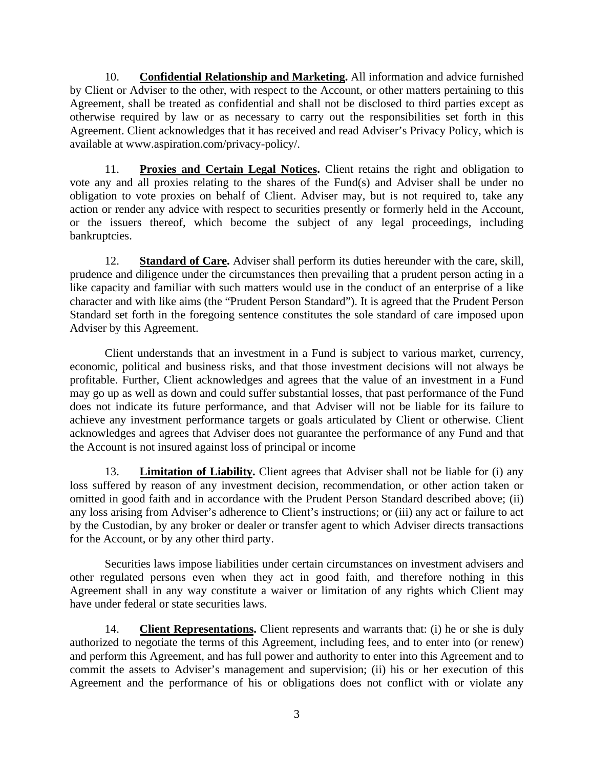10. **Confidential Relationship and Marketing.** All information and advice furnished by Client or Adviser to the other, with respect to the Account, or other matters pertaining to this Agreement, shall be treated as confidential and shall not be disclosed to third parties except as otherwise required by law or as necessary to carry out the responsibilities set forth in this Agreement. Client acknowledges that it has received and read Adviser's Privacy Policy, which is available at www.aspiration.com/privacy-policy/.

11. **Proxies and Certain Legal Notices.** Client retains the right and obligation to vote any and all proxies relating to the shares of the Fund(s) and Adviser shall be under no obligation to vote proxies on behalf of Client. Adviser may, but is not required to, take any action or render any advice with respect to securities presently or formerly held in the Account, or the issuers thereof, which become the subject of any legal proceedings, including bankruptcies.

12. **Standard of Care.** Adviser shall perform its duties hereunder with the care, skill, prudence and diligence under the circumstances then prevailing that a prudent person acting in a like capacity and familiar with such matters would use in the conduct of an enterprise of a like character and with like aims (the "Prudent Person Standard"). It is agreed that the Prudent Person Standard set forth in the foregoing sentence constitutes the sole standard of care imposed upon Adviser by this Agreement.

Client understands that an investment in a Fund is subject to various market, currency, economic, political and business risks, and that those investment decisions will not always be profitable. Further, Client acknowledges and agrees that the value of an investment in a Fund may go up as well as down and could suffer substantial losses, that past performance of the Fund does not indicate its future performance, and that Adviser will not be liable for its failure to achieve any investment performance targets or goals articulated by Client or otherwise. Client acknowledges and agrees that Adviser does not guarantee the performance of any Fund and that the Account is not insured against loss of principal or income

13. **Limitation of Liability.** Client agrees that Adviser shall not be liable for (i) any loss suffered by reason of any investment decision, recommendation, or other action taken or omitted in good faith and in accordance with the Prudent Person Standard described above; (ii) any loss arising from Adviser's adherence to Client's instructions; or (iii) any act or failure to act by the Custodian, by any broker or dealer or transfer agent to which Adviser directs transactions for the Account, or by any other third party.

Securities laws impose liabilities under certain circumstances on investment advisers and other regulated persons even when they act in good faith, and therefore nothing in this Agreement shall in any way constitute a waiver or limitation of any rights which Client may have under federal or state securities laws.

14. **Client Representations.** Client represents and warrants that: (i) he or she is duly authorized to negotiate the terms of this Agreement, including fees, and to enter into (or renew) and perform this Agreement, and has full power and authority to enter into this Agreement and to commit the assets to Adviser's management and supervision; (ii) his or her execution of this Agreement and the performance of his or obligations does not conflict with or violate any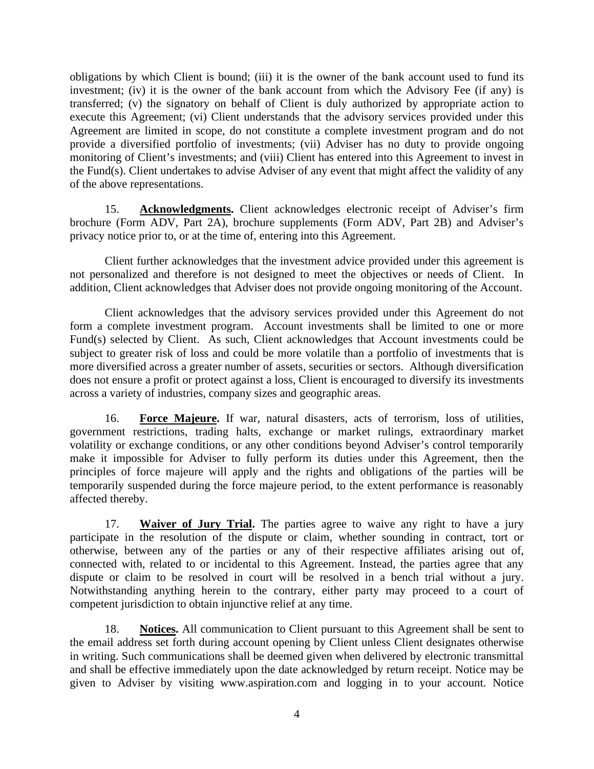obligations by which Client is bound; (iii) it is the owner of the bank account used to fund its investment; (iv) it is the owner of the bank account from which the Advisory Fee (if any) is transferred; (v) the signatory on behalf of Client is duly authorized by appropriate action to execute this Agreement; (vi) Client understands that the advisory services provided under this Agreement are limited in scope, do not constitute a complete investment program and do not provide a diversified portfolio of investments; (vii) Adviser has no duty to provide ongoing monitoring of Client's investments; and (viii) Client has entered into this Agreement to invest in the Fund(s). Client undertakes to advise Adviser of any event that might affect the validity of any of the above representations.

15. **Acknowledgments.** Client acknowledges electronic receipt of Adviser's firm brochure (Form ADV, Part 2A), brochure supplements (Form ADV, Part 2B) and Adviser's privacy notice prior to, or at the time of, entering into this Agreement.

Client further acknowledges that the investment advice provided under this agreement is not personalized and therefore is not designed to meet the objectives or needs of Client. In addition, Client acknowledges that Adviser does not provide ongoing monitoring of the Account.

Client acknowledges that the advisory services provided under this Agreement do not form a complete investment program. Account investments shall be limited to one or more Fund(s) selected by Client. As such, Client acknowledges that Account investments could be subject to greater risk of loss and could be more volatile than a portfolio of investments that is more diversified across a greater number of assets, securities or sectors. Although diversification does not ensure a profit or protect against a loss, Client is encouraged to diversify its investments across a variety of industries, company sizes and geographic areas.

16. **Force Majeure.** If war, natural disasters, acts of terrorism, loss of utilities, government restrictions, trading halts, exchange or market rulings, extraordinary market volatility or exchange conditions, or any other conditions beyond Adviser's control temporarily make it impossible for Adviser to fully perform its duties under this Agreement, then the principles of force majeure will apply and the rights and obligations of the parties will be temporarily suspended during the force majeure period, to the extent performance is reasonably affected thereby.

17. **Waiver of Jury Trial.** The parties agree to waive any right to have a jury participate in the resolution of the dispute or claim, whether sounding in contract, tort or otherwise, between any of the parties or any of their respective affiliates arising out of, connected with, related to or incidental to this Agreement. Instead, the parties agree that any dispute or claim to be resolved in court will be resolved in a bench trial without a jury. Notwithstanding anything herein to the contrary, either party may proceed to a court of competent jurisdiction to obtain injunctive relief at any time.

18. **Notices.** All communication to Client pursuant to this Agreement shall be sent to the email address set forth during account opening by Client unless Client designates otherwise in writing. Such communications shall be deemed given when delivered by electronic transmittal and shall be effective immediately upon the date acknowledged by return receipt. Notice may be given to Adviser by visiting www.aspiration.com and logging in to your account. Notice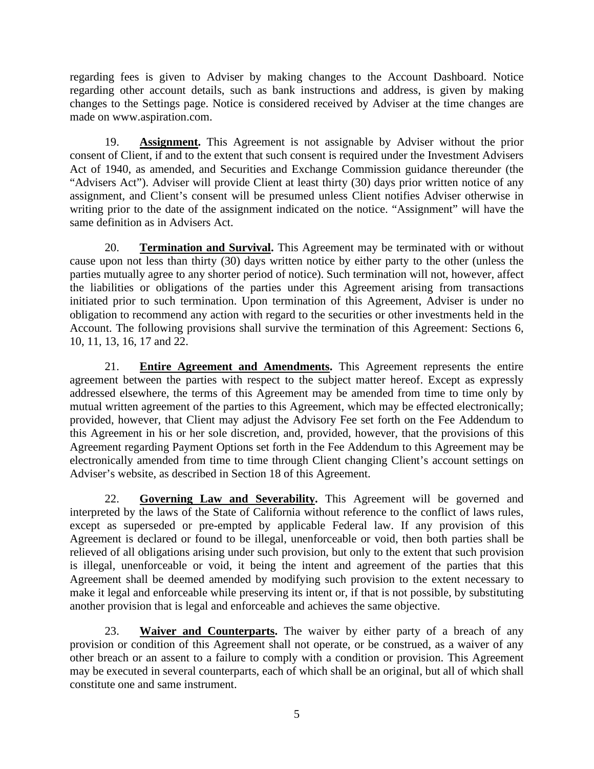regarding fees is given to Adviser by making changes to the Account Dashboard. Notice regarding other account details, such as bank instructions and address, is given by making changes to the Settings page. Notice is considered received by Adviser at the time changes are made on www.aspiration.com.

19. **Assignment.** This Agreement is not assignable by Adviser without the prior consent of Client, if and to the extent that such consent is required under the Investment Advisers Act of 1940, as amended, and Securities and Exchange Commission guidance thereunder (the "Advisers Act"). Adviser will provide Client at least thirty (30) days prior written notice of any assignment, and Client's consent will be presumed unless Client notifies Adviser otherwise in writing prior to the date of the assignment indicated on the notice. "Assignment" will have the same definition as in Advisers Act.

20. **Termination and Survival.** This Agreement may be terminated with or without cause upon not less than thirty (30) days written notice by either party to the other (unless the parties mutually agree to any shorter period of notice). Such termination will not, however, affect the liabilities or obligations of the parties under this Agreement arising from transactions initiated prior to such termination. Upon termination of this Agreement, Adviser is under no obligation to recommend any action with regard to the securities or other investments held in the Account. The following provisions shall survive the termination of this Agreement: Sections 6, 10, 11, 13, 16, 17 and 22.

21. **Entire Agreement and Amendments.** This Agreement represents the entire agreement between the parties with respect to the subject matter hereof. Except as expressly addressed elsewhere, the terms of this Agreement may be amended from time to time only by mutual written agreement of the parties to this Agreement, which may be effected electronically; provided, however, that Client may adjust the Advisory Fee set forth on the Fee Addendum to this Agreement in his or her sole discretion, and, provided, however, that the provisions of this Agreement regarding Payment Options set forth in the Fee Addendum to this Agreement may be electronically amended from time to time through Client changing Client's account settings on Adviser's website, as described in Section 18 of this Agreement.

22. **Governing Law and Severability.** This Agreement will be governed and interpreted by the laws of the State of California without reference to the conflict of laws rules, except as superseded or pre-empted by applicable Federal law. If any provision of this Agreement is declared or found to be illegal, unenforceable or void, then both parties shall be relieved of all obligations arising under such provision, but only to the extent that such provision is illegal, unenforceable or void, it being the intent and agreement of the parties that this Agreement shall be deemed amended by modifying such provision to the extent necessary to make it legal and enforceable while preserving its intent or, if that is not possible, by substituting another provision that is legal and enforceable and achieves the same objective.

23. **Waiver and Counterparts.** The waiver by either party of a breach of any provision or condition of this Agreement shall not operate, or be construed, as a waiver of any other breach or an assent to a failure to comply with a condition or provision. This Agreement may be executed in several counterparts, each of which shall be an original, but all of which shall constitute one and same instrument.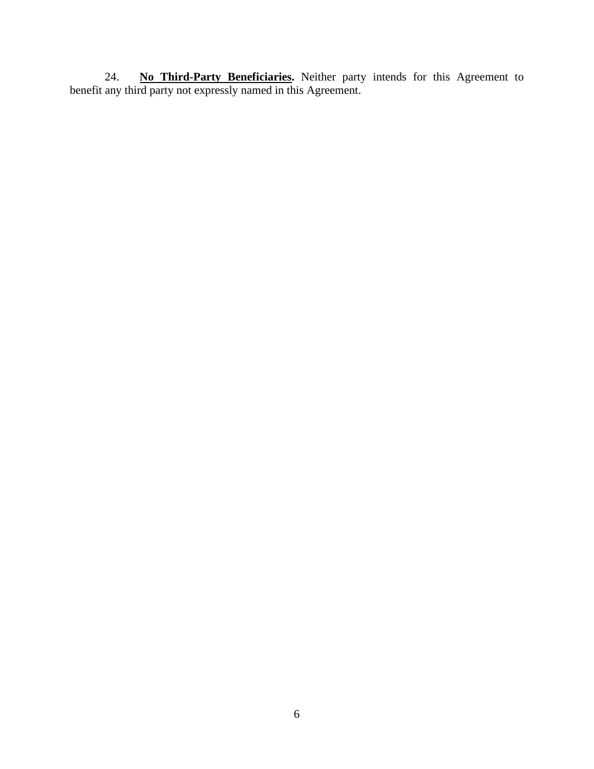24. **No Third-Party Beneficiaries.** Neither party intends for this Agreement to benefit any third party not expressly named in this Agreement.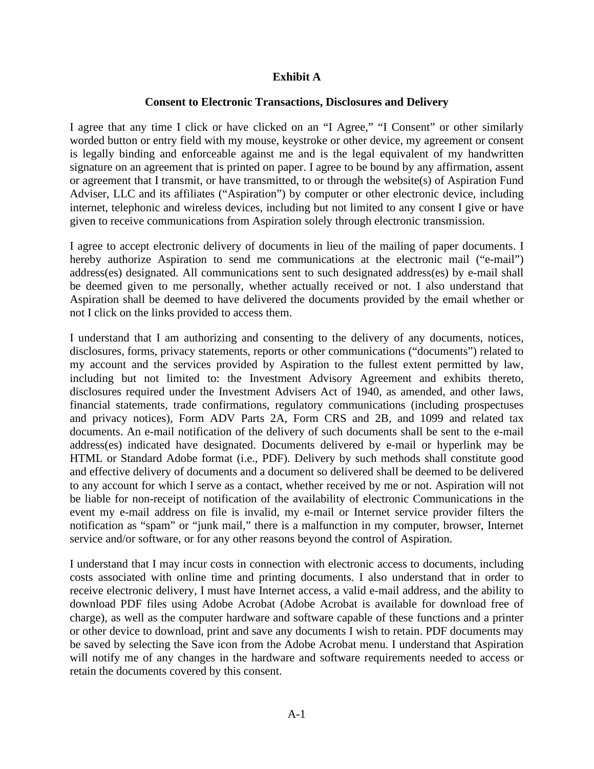## **Exhibit A**

## **Consent to Electronic Transactions, Disclosures and Delivery**

I agree that any time I click or have clicked on an "I Agree," "I Consent" or other similarly worded button or entry field with my mouse, keystroke or other device, my agreement or consent is legally binding and enforceable against me and is the legal equivalent of my handwritten signature on an agreement that is printed on paper. I agree to be bound by any affirmation, assent or agreement that I transmit, or have transmitted, to or through the website(s) of Aspiration Fund Adviser, LLC and its affiliates ("Aspiration") by computer or other electronic device, including internet, telephonic and wireless devices, including but not limited to any consent I give or have given to receive communications from Aspiration solely through electronic transmission.

I agree to accept electronic delivery of documents in lieu of the mailing of paper documents. I hereby authorize Aspiration to send me communications at the electronic mail ("e-mail") address(es) designated. All communications sent to such designated address(es) by e-mail shall be deemed given to me personally, whether actually received or not. I also understand that Aspiration shall be deemed to have delivered the documents provided by the email whether or not I click on the links provided to access them.

I understand that I am authorizing and consenting to the delivery of any documents, notices, disclosures, forms, privacy statements, reports or other communications ("documents") related to my account and the services provided by Aspiration to the fullest extent permitted by law, including but not limited to: the Investment Advisory Agreement and exhibits thereto, disclosures required under the Investment Advisers Act of 1940, as amended, and other laws, financial statements, trade confirmations, regulatory communications (including prospectuses and privacy notices), Form ADV Parts 2A, Form CRS and 2B, and 1099 and related tax documents. An e-mail notification of the delivery of such documents shall be sent to the e-mail address(es) indicated have designated. Documents delivered by e-mail or hyperlink may be HTML or Standard Adobe format (i.e., PDF). Delivery by such methods shall constitute good and effective delivery of documents and a document so delivered shall be deemed to be delivered to any account for which I serve as a contact, whether received by me or not. Aspiration will not be liable for non-receipt of notification of the availability of electronic Communications in the event my e-mail address on file is invalid, my e-mail or Internet service provider filters the notification as "spam" or "junk mail," there is a malfunction in my computer, browser, Internet service and/or software, or for any other reasons beyond the control of Aspiration.

I understand that I may incur costs in connection with electronic access to documents, including costs associated with online time and printing documents. I also understand that in order to receive electronic delivery, I must have Internet access, a valid e-mail address, and the ability to download PDF files using Adobe Acrobat (Adobe Acrobat is available for download free of charge), as well as the computer hardware and software capable of these functions and a printer or other device to download, print and save any documents I wish to retain. PDF documents may be saved by selecting the Save icon from the Adobe Acrobat menu. I understand that Aspiration will notify me of any changes in the hardware and software requirements needed to access or retain the documents covered by this consent.